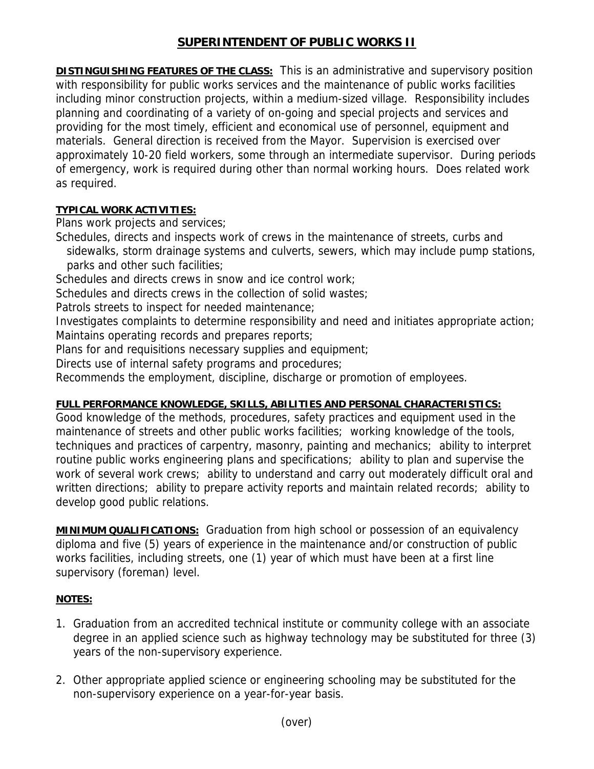## **SUPERINTENDENT OF PUBLIC WORKS II**

**DISTINGUISHING FEATURES OF THE CLASS:** This is an administrative and supervisory position with responsibility for public works services and the maintenance of public works facilities including minor construction projects, within a medium-sized village. Responsibility includes planning and coordinating of a variety of on-going and special projects and services and providing for the most timely, efficient and economical use of personnel, equipment and materials. General direction is received from the Mayor. Supervision is exercised over approximately 10-20 field workers, some through an intermediate supervisor. During periods of emergency, work is required during other than normal working hours. Does related work as required.

## **TYPICAL WORK ACTIVITIES:**

Plans work projects and services;

- Schedules, directs and inspects work of crews in the maintenance of streets, curbs and
- sidewalks, storm drainage systems and culverts, sewers, which may include pump stations, parks and other such facilities;
- Schedules and directs crews in snow and ice control work;
- Schedules and directs crews in the collection of solid wastes:
- Patrols streets to inspect for needed maintenance;
- Investigates complaints to determine responsibility and need and initiates appropriate action; Maintains operating records and prepares reports;
- Plans for and requisitions necessary supplies and equipment;
- Directs use of internal safety programs and procedures;
- Recommends the employment, discipline, discharge or promotion of employees.

## **FULL PERFORMANCE KNOWLEDGE, SKILLS, ABILITIES AND PERSONAL CHARACTERISTICS:**

Good knowledge of the methods, procedures, safety practices and equipment used in the maintenance of streets and other public works facilities; working knowledge of the tools, techniques and practices of carpentry, masonry, painting and mechanics; ability to interpret routine public works engineering plans and specifications; ability to plan and supervise the work of several work crews; ability to understand and carry out moderately difficult oral and written directions; ability to prepare activity reports and maintain related records; ability to develop good public relations.

**MINIMUM QUALIFICATIONS:** Graduation from high school or possession of an equivalency diploma and five (5) years of experience in the maintenance and/or construction of public works facilities, including streets, one (1) year of which must have been at a first line supervisory (foreman) level.

## **NOTES:**

- 1. Graduation from an accredited technical institute or community college with an associate degree in an applied science such as highway technology may be substituted for three (3) years of the non-supervisory experience.
- 2. Other appropriate applied science or engineering schooling may be substituted for the non-supervisory experience on a year-for-year basis.